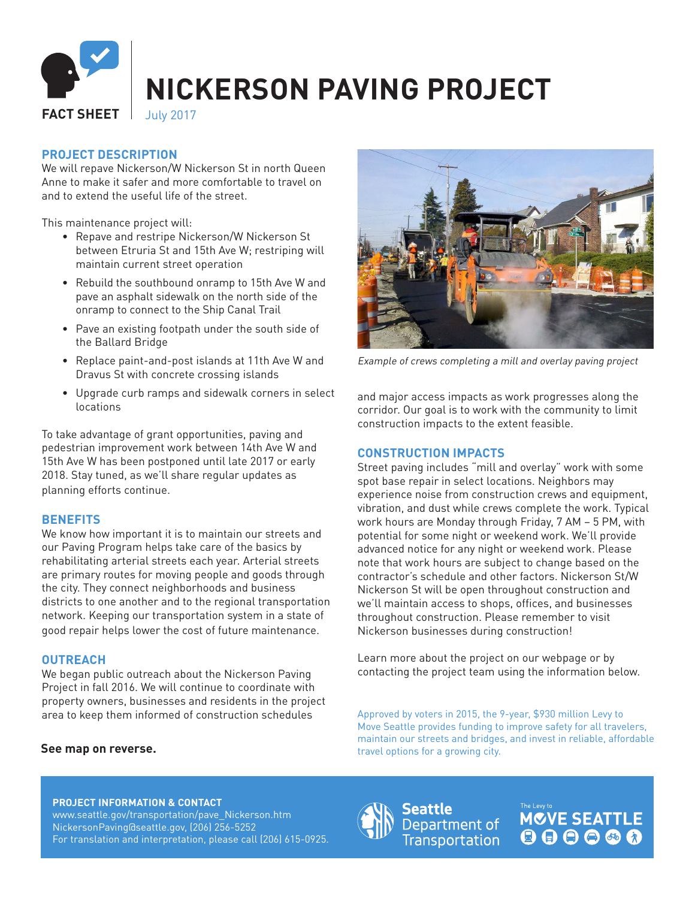

# **PROJECT DESCRIPTION**

We will repave Nickerson/W Nickerson St in north Queen Anne to make it safer and more comfortable to travel on and to extend the useful life of the street.

This maintenance project will:

- Repave and restripe Nickerson/W Nickerson St between Etruria St and 15th Ave W; restriping will maintain current street operation
- Rebuild the southbound onramp to 15th Ave W and pave an asphalt sidewalk on the north side of the onramp to connect to the Ship Canal Trail
- Pave an existing footpath under the south side of the Ballard Bridge
- Replace paint-and-post islands at 11th Ave W and Dravus St with concrete crossing islands
- Upgrade curb ramps and sidewalk corners in select locations

To take advantage of grant opportunities, paving and pedestrian improvement work between 14th Ave W and 15th Ave W has been postponed until late 2017 or early 2018. Stay tuned, as we'll share regular updates as planning efforts continue.

#### **BENEFITS**

We know how important it is to maintain our streets and our Paving Program helps take care of the basics by rehabilitating arterial streets each year. Arterial streets are primary routes for moving people and goods through the city. They connect neighborhoods and business districts to one another and to the regional transportation network. Keeping our transportation system in a state of good repair helps lower the cost of future maintenance.

## **OUTREACH**

We began public outreach about the Nickerson Paving Project in fall 2016. We will continue to coordinate with property owners, businesses and residents in the project area to keep them informed of construction schedules Approved by voters in 2015, the 9-year, \$930 million Levy to

## **See map on reverse.**



Example of crews completing a mill and overlay paving project

and major access impacts as work progresses along the corridor. Our goal is to work with the community to limit construction impacts to the extent feasible.

## **CONSTRUCTION IMPACTS**

Street paving includes "mill and overlay" work with some spot base repair in select locations. Neighbors may experience noise from construction crews and equipment, vibration, and dust while crews complete the work. Typical work hours are Monday through Friday, 7 AM – 5 PM, with potential for some night or weekend work. We'll provide advanced notice for any night or weekend work. Please note that work hours are subject to change based on the contractor's schedule and other factors. Nickerson St/W Nickerson St will be open throughout construction and we'll maintain access to shops, offices, and businesses throughout construction. Please remember to visit Nickerson businesses during construction!

Learn more about the project on our webpage or by contacting the project team using the information below.

Move Seattle provides funding to improve safety for all travelers, maintain our streets and bridges, and invest in reliable, affordable travel options for a growing city.

#### **PROJECT INFORMATION & CONTACT**

www.seattle.gov/transportation/pave\_Nickerson.htm NickersonPaving@seattle.gov, (206) 256-5252 For translation and interpretation, please call (206) 615-0925.



**MCVE SEATTLE** 000000